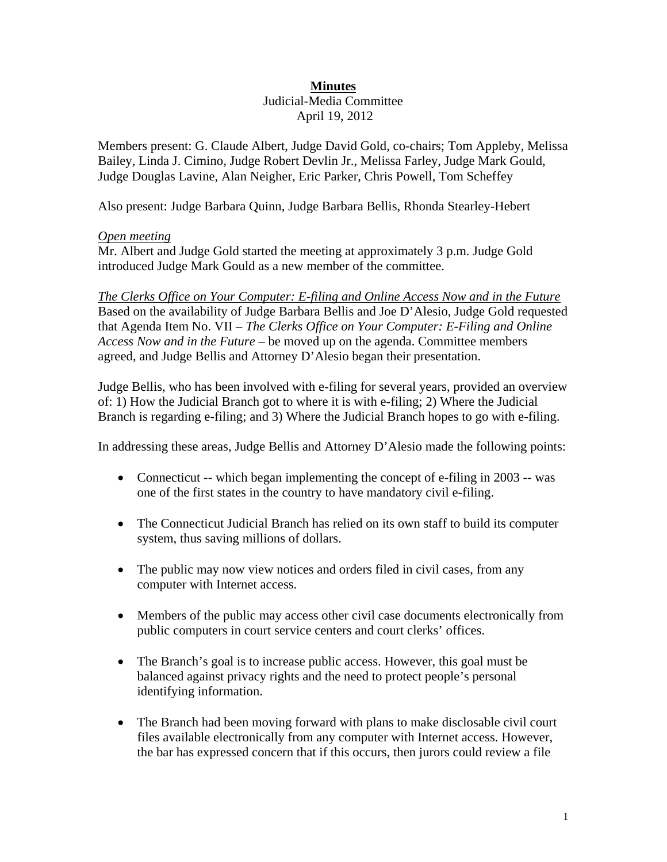# **Minutes**

#### Judicial-Media Committee April 19, 2012

Members present: G. Claude Albert, Judge David Gold, co-chairs; Tom Appleby, Melissa Bailey, Linda J. Cimino, Judge Robert Devlin Jr., Melissa Farley, Judge Mark Gould, Judge Douglas Lavine, Alan Neigher, Eric Parker, Chris Powell, Tom Scheffey

Also present: Judge Barbara Quinn, Judge Barbara Bellis, Rhonda Stearley-Hebert

# *Open meeting*

Mr. Albert and Judge Gold started the meeting at approximately 3 p.m. Judge Gold introduced Judge Mark Gould as a new member of the committee.

*The Clerks Office on Your Computer: E-filing and Online Access Now and in the Future* Based on the availability of Judge Barbara Bellis and Joe D'Alesio, Judge Gold requested that Agenda Item No. VII – *The Clerks Office on Your Computer: E-Filing and Online Access Now and in the Future –* be moved up on the agenda. Committee members agreed, and Judge Bellis and Attorney D'Alesio began their presentation.

Judge Bellis, who has been involved with e-filing for several years, provided an overview of: 1) How the Judicial Branch got to where it is with e-filing; 2) Where the Judicial Branch is regarding e-filing; and 3) Where the Judicial Branch hopes to go with e-filing.

In addressing these areas, Judge Bellis and Attorney D'Alesio made the following points:

- Connecticut -- which began implementing the concept of e-filing in 2003 -- was one of the first states in the country to have mandatory civil e-filing.
- The Connecticut Judicial Branch has relied on its own staff to build its computer system, thus saving millions of dollars.
- The public may now view notices and orders filed in civil cases, from any computer with Internet access.
- Members of the public may access other civil case documents electronically from public computers in court service centers and court clerks' offices.
- The Branch's goal is to increase public access. However, this goal must be balanced against privacy rights and the need to protect people's personal identifying information.
- The Branch had been moving forward with plans to make disclosable civil court files available electronically from any computer with Internet access. However, the bar has expressed concern that if this occurs, then jurors could review a file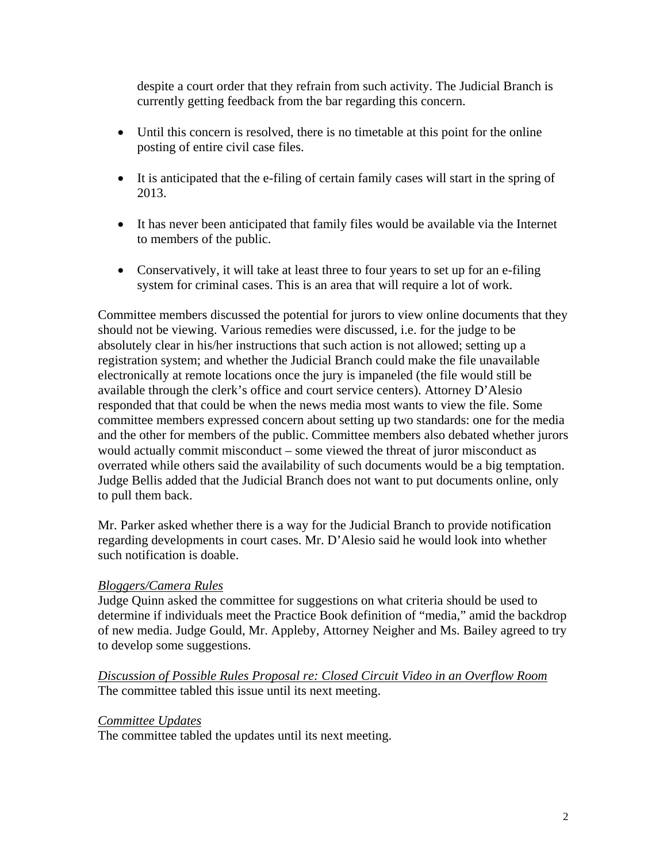despite a court order that they refrain from such activity. The Judicial Branch is currently getting feedback from the bar regarding this concern.

- Until this concern is resolved, there is no timetable at this point for the online posting of entire civil case files.
- It is anticipated that the e-filing of certain family cases will start in the spring of 2013.
- It has never been anticipated that family files would be available via the Internet to members of the public.
- Conservatively, it will take at least three to four years to set up for an e-filing system for criminal cases. This is an area that will require a lot of work.

Committee members discussed the potential for jurors to view online documents that they should not be viewing. Various remedies were discussed, i.e. for the judge to be absolutely clear in his/her instructions that such action is not allowed; setting up a registration system; and whether the Judicial Branch could make the file unavailable electronically at remote locations once the jury is impaneled (the file would still be available through the clerk's office and court service centers). Attorney D'Alesio responded that that could be when the news media most wants to view the file. Some committee members expressed concern about setting up two standards: one for the media and the other for members of the public. Committee members also debated whether jurors would actually commit misconduct – some viewed the threat of juror misconduct as overrated while others said the availability of such documents would be a big temptation. Judge Bellis added that the Judicial Branch does not want to put documents online, only to pull them back.

Mr. Parker asked whether there is a way for the Judicial Branch to provide notification regarding developments in court cases. Mr. D'Alesio said he would look into whether such notification is doable.

# *Bloggers/Camera Rules*

Judge Quinn asked the committee for suggestions on what criteria should be used to determine if individuals meet the Practice Book definition of "media," amid the backdrop of new media. Judge Gould, Mr. Appleby, Attorney Neigher and Ms. Bailey agreed to try to develop some suggestions.

*Discussion of Possible Rules Proposal re: Closed Circuit Video in an Overflow Room*  The committee tabled this issue until its next meeting.

### *Committee Updates*

The committee tabled the updates until its next meeting.